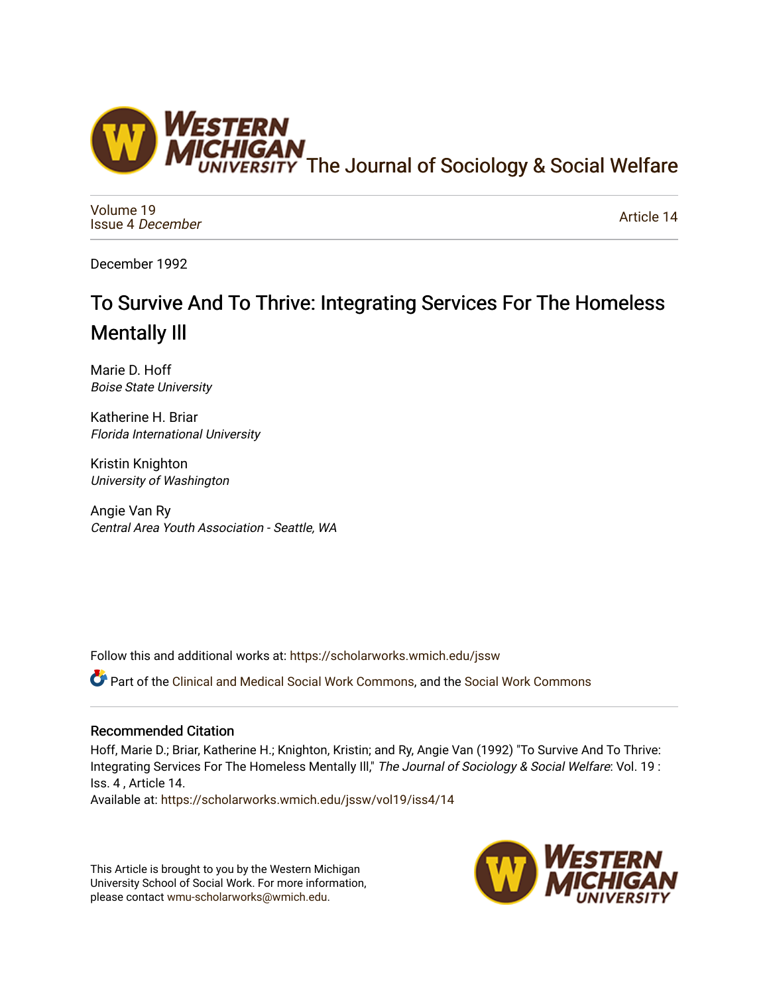

[Volume 19](https://scholarworks.wmich.edu/jssw/vol19) [Issue 4](https://scholarworks.wmich.edu/jssw/vol19/iss4) December

[Article 14](https://scholarworks.wmich.edu/jssw/vol19/iss4/14) 

December 1992

# To Survive And To Thrive: Integrating Services For The Homeless Mentally Ill

Marie D. Hoff Boise State University

Katherine H. Briar Florida International University

Kristin Knighton University of Washington

Angie Van Ry Central Area Youth Association - Seattle, WA

Follow this and additional works at: [https://scholarworks.wmich.edu/jssw](https://scholarworks.wmich.edu/jssw?utm_source=scholarworks.wmich.edu%2Fjssw%2Fvol19%2Fiss4%2F14&utm_medium=PDF&utm_campaign=PDFCoverPages) 

Part of the [Clinical and Medical Social Work Commons,](http://network.bepress.com/hgg/discipline/712?utm_source=scholarworks.wmich.edu%2Fjssw%2Fvol19%2Fiss4%2F14&utm_medium=PDF&utm_campaign=PDFCoverPages) and the [Social Work Commons](http://network.bepress.com/hgg/discipline/713?utm_source=scholarworks.wmich.edu%2Fjssw%2Fvol19%2Fiss4%2F14&utm_medium=PDF&utm_campaign=PDFCoverPages)

## Recommended Citation

Hoff, Marie D.; Briar, Katherine H.; Knighton, Kristin; and Ry, Angie Van (1992) "To Survive And To Thrive: Integrating Services For The Homeless Mentally III," The Journal of Sociology & Social Welfare: Vol. 19: Iss. 4 , Article 14.

Available at: [https://scholarworks.wmich.edu/jssw/vol19/iss4/14](https://scholarworks.wmich.edu/jssw/vol19/iss4/14?utm_source=scholarworks.wmich.edu%2Fjssw%2Fvol19%2Fiss4%2F14&utm_medium=PDF&utm_campaign=PDFCoverPages) 

This Article is brought to you by the Western Michigan University School of Social Work. For more information, please contact [wmu-scholarworks@wmich.edu.](mailto:wmu-scholarworks@wmich.edu)

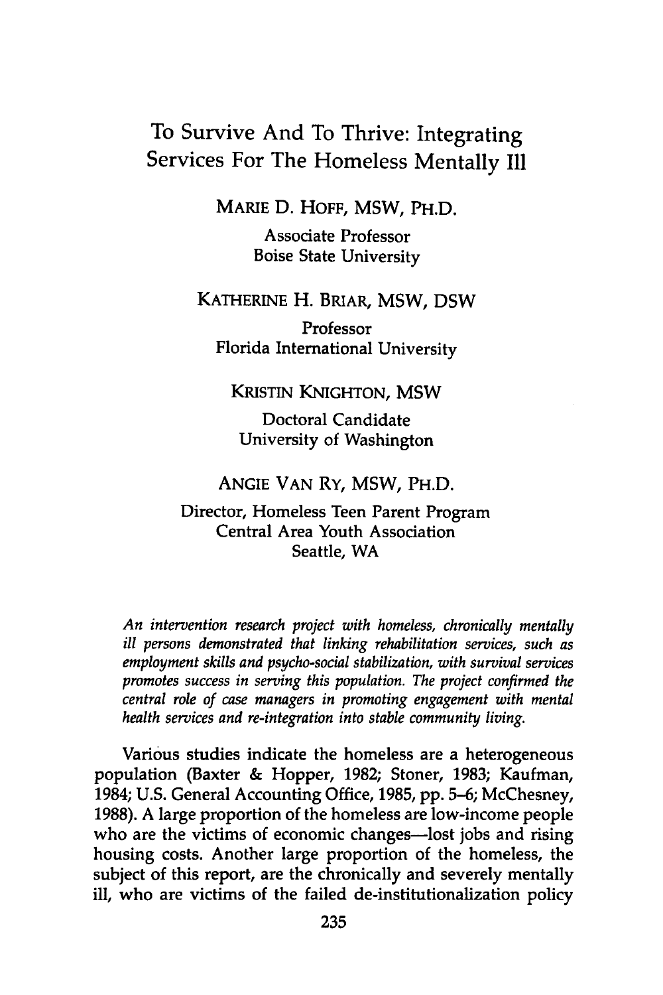## To Survive And To Thrive: Integrating Services For The Homeless Mentally Ill

**MARIE** D. HOFF, MSW, PH.D.

Associate Professor Boise State University

#### KATHERINE H. BRIAR, MSW, DSW

Professor Florida International University

#### KRISTIN KNIGHTON, MSW

Doctoral Candidate University of Washington

#### ANGIE VAN RY, MSW, PH.D.

Director, Homeless Teen Parent Program Central Area Youth Association Seattle, WA

*An intervention research project with homeless, chronically mentally ill persons demonstrated that linking rehabilitation services, such as employment skills and psycho-social stabilization, with survival services promotes success in serving this population. The project confirmed the central role of case managers in promoting engagement with mental health services and re-integration into stable community living.*

Various studies indicate the homeless are a heterogeneous population (Baxter & Hopper, 1982; Stoner, 1983; Kaufman, 1984; U.S. General Accounting Office, **1985,** pp. 5-6; McChesney, 1988). A large proportion of the homeless are low-income people who are the victims of economic changes—lost jobs and rising housing costs. Another large proportion of the homeless, the subject of this report, are the chronically and severely mentally ill, who are victims of the failed de-institutionalization policy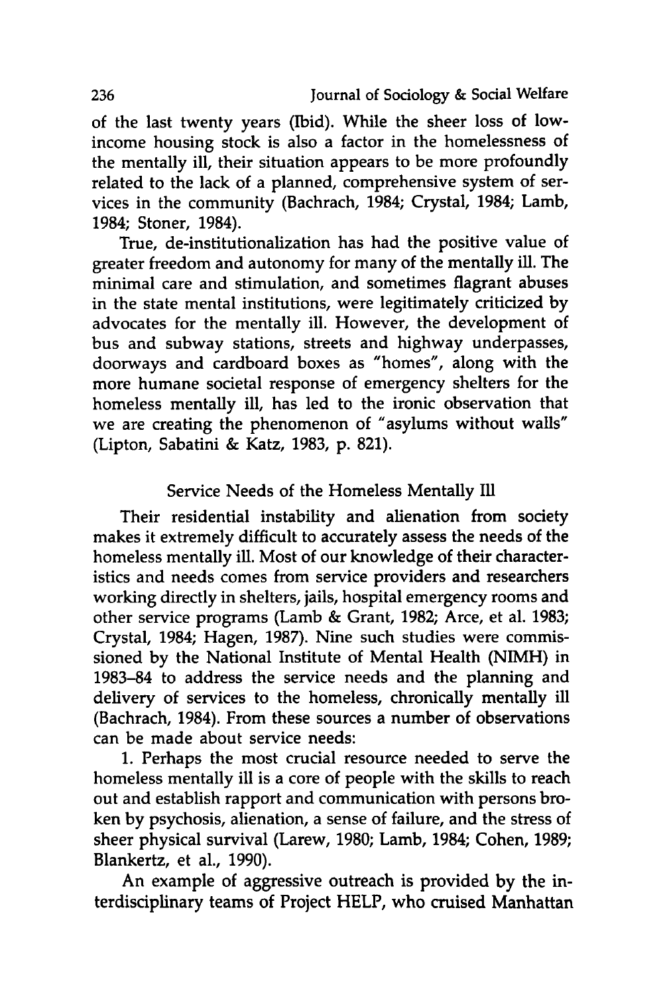of the last twenty years (Ibid). While the sheer loss of lowincome housing stock is also a factor in the homelessness of the mentally ill, their situation appears to be more profoundly related to the lack of a planned, comprehensive system of services in the community (Bachrach, 1984; Crystal, 1984; Lamb, 1984; Stoner, 1984).

True, de-institutionalization has had the positive value of greater freedom and autonomy for many of the mentally ill. The minimal care and stimulation, and sometimes flagrant abuses in the state mental institutions, were legitimately criticized **by** advocates for the mentally ill. However, the development of bus and subway stations, streets and highway underpasses, doorways and cardboard boxes as "homes", along with the more humane societal response of emergency shelters for the homeless mentally ill, has led to the ironic observation that we are creating the phenomenon of "asylums without walls" (Lipton, Sabatini **&** Katz, **1983, p. 821).**

#### Service Needs of the Homeless Mentally **Ill**

Their residential instability and alienation from society makes it extremely difficult to accurately assess the needs of the homeless mentally ill. Most of our knowledge of their characteristics and needs comes from service providers and researchers working directly in shelters, jails, hospital emergency rooms and other service programs (Lamb **&** Grant, **1982;** Arce, et al. **1983;** Crystal, 1984; Hagen, **1987).** Nine such studies were commissioned **by** the National Institute of Mental Health **(NIMH)** in **1983-84** to address the service needs and the planning and delivery of services to the homeless, chronically mentally ill (Bachrach, 1984). From these sources a number of observations can be made about service needs:

**1.** Perhaps the most crucial resource needed to serve the homeless mentally ill is a core of people with the skills to reach out and establish rapport and communication with persons broken **by** psychosis, alienation, a sense of failure, and the stress of sheer physical survival (Larew, **1980;** Lamb, 1984; Cohen, **1989;** Blankertz, et **al., 1990).**

An example of aggressive outreach is provided **by** the interdisciplinary teams of Project HELP, who cruised Manhattan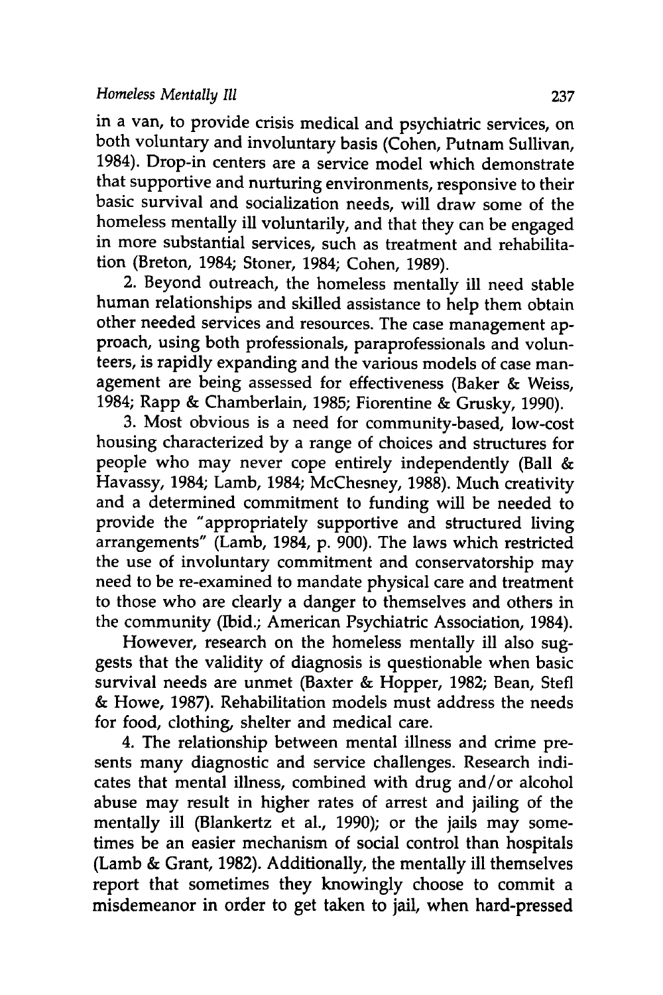in a van, to provide crisis medical and psychiatric services, on both voluntary and involuntary basis (Cohen, Putnam Sullivan, 1984). Drop-in centers are a service model which demonstrate that supportive and nurturing environments, responsive to their basic survival and socialization needs, will draw some of the homeless mentally ill voluntarily, and that they can be engaged in more substantial services, such as treatment and rehabilitation (Breton, 1984; Stoner, 1984; Cohen, **1989).**

2. Beyond outreach, the homeless mentally ill need stable human relationships and skilled assistance to help them obtain other needed services and resources. The case management approach, using both professionals, paraprofessionals and volunteers, is rapidly expanding and the various models of case management are being assessed for effectiveness (Baker **&** Weiss, 1984; Rapp **&** Chamberlain, **1985;** Fiorentine **&** Grusky, **1990).**

**3.** Most obvious is a need for community-based, low-cost housing characterized **by** a range of choices and structures for people who may never cope entirely independently (Ball **&** Havassy, 1984; Lamb, 1984; McChesney, **1988).** Much creativity and a determined commitment to funding will be needed to provide the "appropriately supportive and structured living arrangements" (Lamb, 1984, **p. 900).** The laws which restricted the use of involuntary commitment and conservatorship may need to be re-examined to mandate physical care and treatment to those who are clearly a danger to themselves and others in the community (Ibid.; American Psychiatric Association, 1984).

However, research on the homeless mentally ill also suggests that the validity of diagnosis is questionable when basic survival needs are unmet (Baxter **&** Hopper, **1982;** Bean, Stefl **&** Howe, **1987).** Rehabilitation models must address the needs for food, clothing, shelter and medical care.

4. The relationship between mental illness and crime presents many diagnostic and service challenges. Research indicates that mental illness, combined with drug and/or alcohol abuse may result in higher rates of arrest and jailing of the mentally ill (Blankertz et al., **1990);** or the jails may sometimes be an easier mechanism of social control than hospitals (Lamb **&** Grant, **1982).** Additionally, the mentally ill themselves report that sometimes they knowingly choose to commit a misdemeanor in order to get taken to jail, when hard-pressed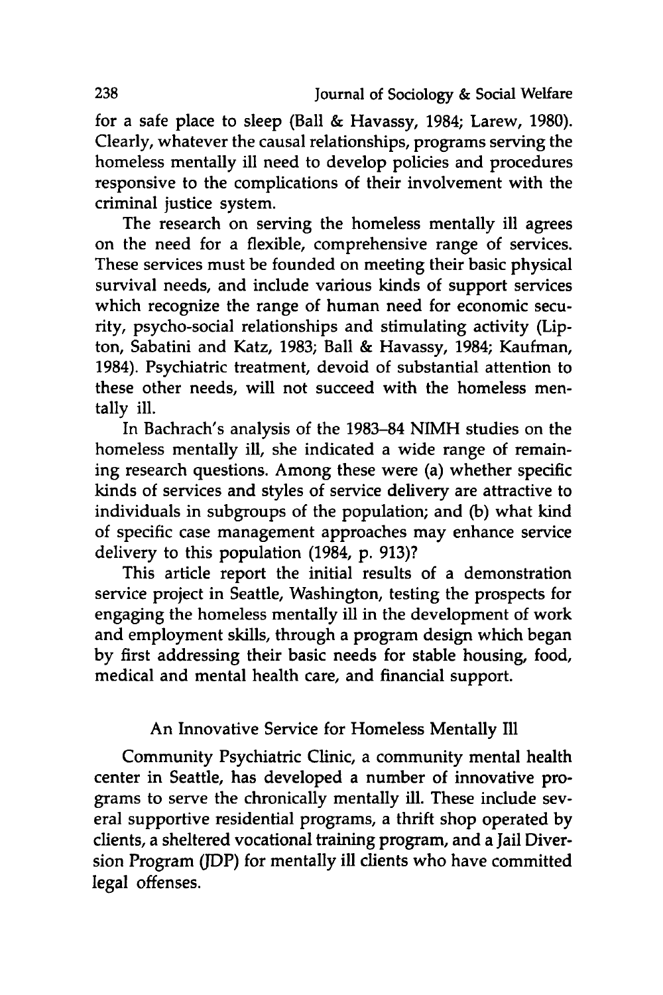for a safe place to sleep (Ball & Havassy, 1984; Larew, **1980).** Clearly, whatever the causal relationships, programs serving the homeless mentally ill need to develop policies and procedures responsive to the complications of their involvement with the criminal justice system.

The research on serving the homeless mentally ill agrees on the need for a flexible, comprehensive range of services. These services must be founded on meeting their basic physical survival needs, and include various kinds of support services which recognize the range of human need for economic security, psycho-social relationships and stimulating activity (Lipton, Sabatini and Katz, **1983;** Ball **&** Havassy, 1984; Kaufman, 1984). Psychiatric treatment, devoid of substantial attention to these other needs, will not succeed with the homeless mentally ill.

In Bachrach's analysis of the **1983-84 NIMH** studies on the homeless mentally ill, she indicated a wide range of remaining research questions. Among these were (a) whether specific kinds of services and styles of service delivery are attractive to individuals in subgroups of the population; and **(b)** what kind of specific case management approaches may enhance service delivery to this population (1984, **p. 913)?**

This article report the initial results of a demonstration service project in Seattle, Washington, testing the prospects for engaging the homeless mentally ill in the development of work and employment skills, through a program design which began **by** first addressing their basic needs for stable housing, food, medical and mental health care, and financial support.

## An Innovative Service for Homeless Mentally Ill

Community Psychiatric Clinic, a community mental health center in Seattle, has developed a number of innovative programs to serve the chronically mentally **ill.** These include several supportive residential programs, a thrift shop operated **by** clients, a sheltered vocational training program, and a Jail Diversion Program (JDP) for mentally ill clients who have committed legal offenses.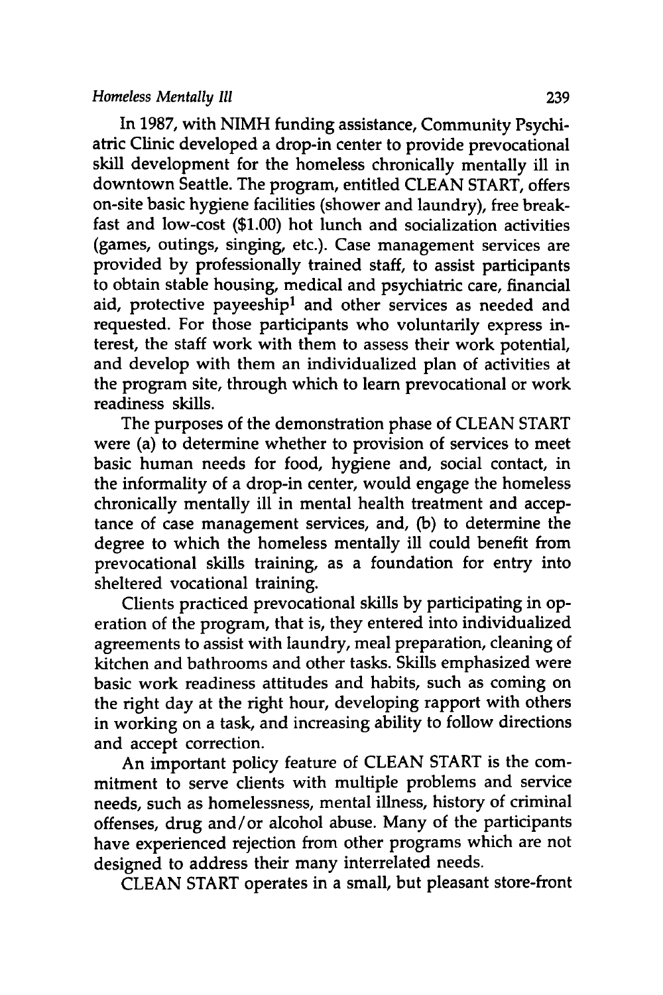In **1987,** with NIMH funding assistance, Community Psychiatric Clinic developed a drop-in center to provide prevocational skill development for the homeless chronically mentally ill in downtown Seattle. The program, entitled **CLEAN** START, offers on-site basic hygiene facilities (shower and laundry), free breakfast and low-cost **(\$1.00)** hot lunch and socialization activities (games, outings, singing, etc.). Case management services are provided **by** professionally trained staff, to assist participants to obtain stable housing, medical and psychiatric care, financial aid, protective payeeship<sup>1</sup> and other services as needed and requested. For those participants who voluntarily express interest, the staff work with them to assess their work potential, and develop with them an individualized plan of activities at the program site, through which to learn prevocational or work readiness skills.

The purposes of the demonstration phase of **CLEAN** START were (a) to determine whether to provision of services to meet basic human needs for food, hygiene and, social contact, in the informality of a drop-in center, would engage the homeless chronically mentally ill in mental health treatment and acceptance of case management services, and, **(b)** to determine the degree to which the homeless mentally ill could benefit from prevocational skills training, as a foundation for entry into sheltered vocational training.

Clients practiced prevocational skills **by** participating in operation of the program, that is, they entered into individualized agreements to assist with laundry, meal preparation, cleaning of kitchen and bathrooms and other tasks. Skills emphasized were basic work readiness attitudes and habits, such as coming on the right day at the right hour, developing rapport with others in working on a task, and increasing ability to follow directions and accept correction.

An important policy feature of **CLEAN** START is the commitment to serve clients with multiple problems and service needs, such as homelessness, mental illness, history of criminal offenses, drug and/or alcohol abuse. Many of the participants have experienced rejection from other programs which are not designed to address their many interrelated needs.

**CLEAN** START operates in a small, but pleasant store-front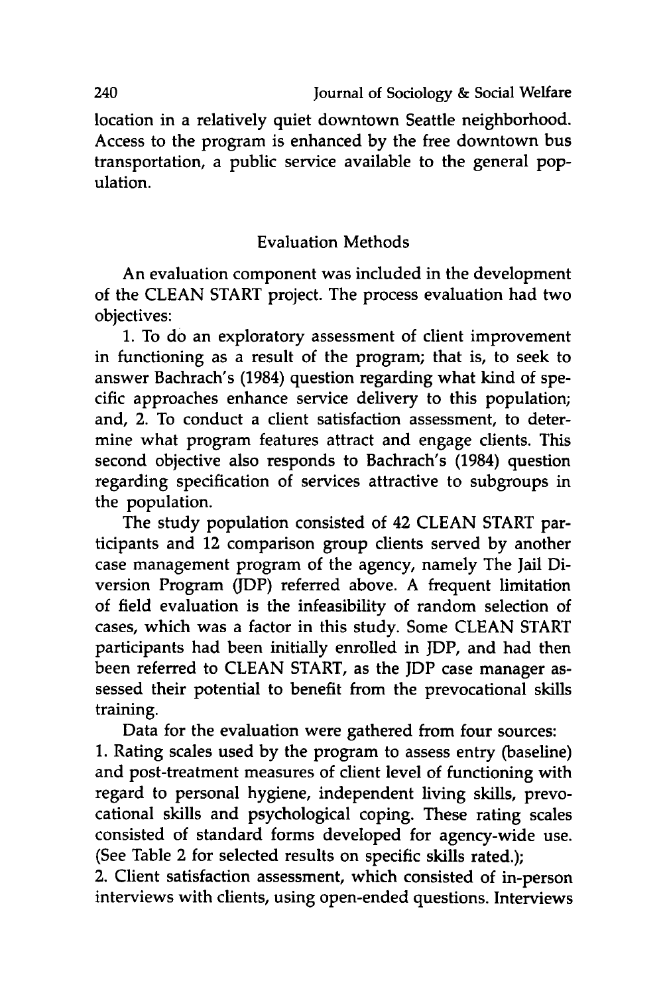location in a relatively quiet downtown Seattle neighborhood. Access to the program is enhanced **by** the free downtown bus transportation, a public service available to the general population.

#### Evaluation Methods

An evaluation component was included in the development of the **CLEAN** START project. The process evaluation had two objectives:

**1.** To do an exploratory assessment of client improvement in functioning as a result of the program; that is, to seek to answer Bachrach's (1984) question regarding what kind of specific approaches enhance service delivery to this population; and, 2. To conduct a client satisfaction assessment, to determine what program features attract and engage clients. This second objective also responds to Bachrach's (1984) question regarding specification of services attractive to subgroups in the population.

The study population consisted of 42 **CLEAN** START participants and 12 comparison group clients served **by** another case management program of the agency, namely The Jail Diversion Program (JDP) referred above. A frequent limitation of field evaluation is the infeasibility of random selection of cases, which was a factor in this study. Some **CLEAN** START participants had been initially enrolled in JDP, and had then been referred to **CLEAN** START, as the JDP case manager assessed their potential to benefit from the prevocational skills training.

Data for the evaluation were gathered from four sources:

**1.** Rating scales used **by** the program to assess entry (baseline) and post-treatment measures of client level of functioning with regard to personal hygiene, independent living skills, prevocational skills and psychological coping. These rating scales consisted of standard forms developed for agency-wide use. (See Table 2 for selected results on specific skills rated.);

2. Client satisfaction assessment, which consisted of in-person interviews with clients, using open-ended questions. Interviews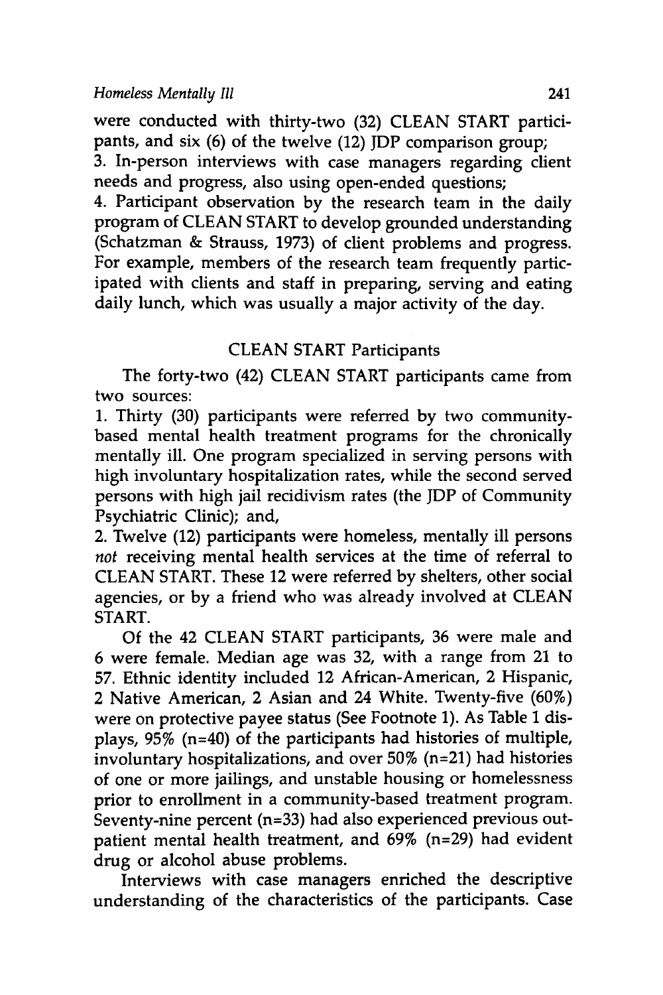were conducted with thirty-two **(32) CLEAN** START participants, and six **(6)** of the twelve (12) JDP comparison group;

**3.** In-person interviews with case managers regarding client needs and progress, also using open-ended questions;

4. Participant observation **by** the research team in the daily program of **CLEAN** START to develop grounded understanding (Schatzman **&** Strauss, **1973)** of client problems and progress. For example, members of the research team frequently participated with clients and staff in preparing, serving and eating daily lunch, which was usually a major activity of the day.

## **CLEAN** START Participants

The forty-two (42) **CLEAN** START participants came from two sources:

1. Thirty (30) participants were referred by two communitybased mental health treatment programs for the chronically mentally ill. One program specialized in serving persons with high involuntary hospitalization rates, while the second served persons with high jail recidivism rates (the JDP of Community Psychiatric Clinic); and,

2. Twelve (12) participants were homeless, mentally ill persons *not* receiving mental health services at the time of referral to CLEAN START. These 12 were referred by shelters, other social agencies, or by a friend who was already involved at CLEAN START.

Of the 42 CLEAN START participants, 36 were male and 6 were female. Median age was 32, with a range from 21 to 57. Ethnic identity included 12 African-American, 2 Hispanic, 2 Native American, 2 Asian and 24 White. Twenty-five (60%) were on protective payee status (See Footnote 1). As Table **1** displays, **95%** (n=40) of the participants had histories of multiple, involuntary hospitalizations, and over **50%** (n=21) had histories of one or more jailings, and unstable housing or homelessness prior to enrollment in a community-based treatment program. Seventy-nine percent (n=33) had also experienced previous outpatient mental health treatment, and 69% (n=29) had evident drug or alcohol abuse problems.

Interviews with case managers enriched the descriptive understanding of the characteristics of the participants. Case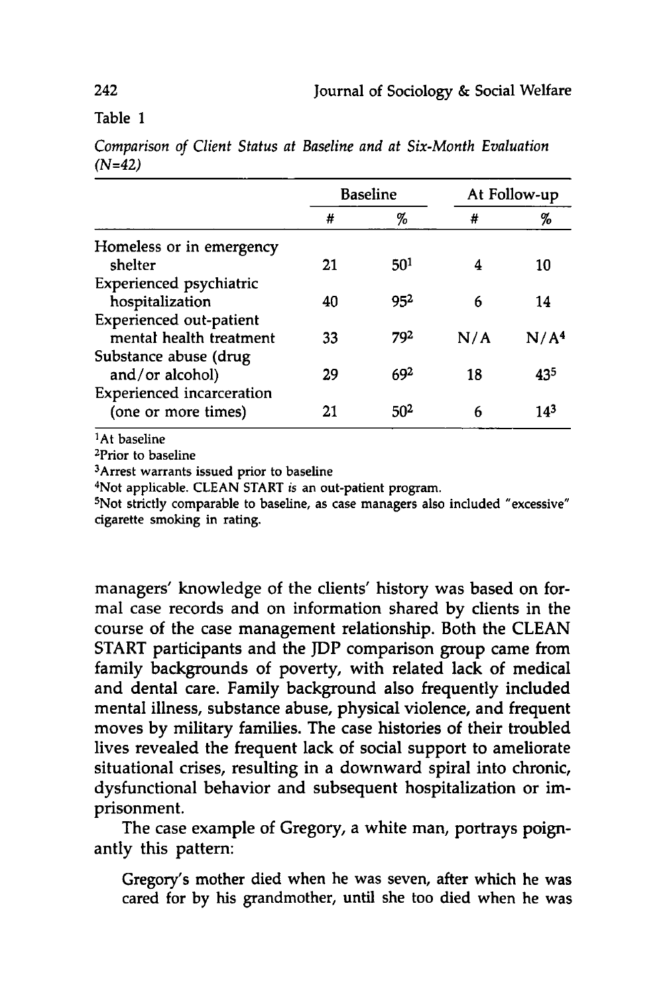Table 1

|                                  | <b>Baseline</b> |                 | At Follow-up |                  |
|----------------------------------|-----------------|-----------------|--------------|------------------|
|                                  | #               | %               | #            | %                |
| Homeless or in emergency         |                 |                 |              |                  |
| shelter                          | 21              | 50 <sup>1</sup> | 4            | 10               |
| Experienced psychiatric          |                 |                 |              |                  |
| hospitalization                  | 40              | 952             | 6            | 14               |
| <b>Experienced out-patient</b>   |                 |                 |              |                  |
| mental health treatment          | 33              | 792             | N/A          | N/A <sup>4</sup> |
| Substance abuse (drug            |                 |                 |              |                  |
| and/or alcohol)                  | 29              | 692             | 18           | 435              |
| <b>Experienced incarceration</b> |                 |                 |              |                  |
| (one or more times)              | 21              | 50 <sup>2</sup> | 6            | 143              |

*Comparison of Client Status at Baseline and at Six-Month Evaluation (N=42)*

 $<sup>1</sup>$ At baseline</sup>

<sup>2</sup>Prior to baseline

<sup>3</sup>Arrest warrants issued prior to baseline

Not applicable. **CLEAN** START *is* an out-patient program.

5 Not strictly comparable to baseline, as case managers also included "excessive" cigarette smoking in rating.

managers' knowledge of the clients' history was based on formal case records and on information shared **by** clients in the course of the case management relationship. Both the **CLEAN** START participants and the **JDP** comparison group came from family backgrounds of poverty, with related lack of medical and dental care. Family background also frequently included mental illness, substance abuse, physical violence, and frequent moves **by** military families. The case histories of their troubled lives revealed the frequent lack of social support to ameliorate situational crises, resulting in a downward spiral into chronic, dysfunctional behavior and subsequent hospitalization or imprisonment.

The case example of Gregory, a white man, portrays poignantly this pattern:

Gregory's mother died when he was seven, after which he was cared for **by** his grandmother, until she too died when he was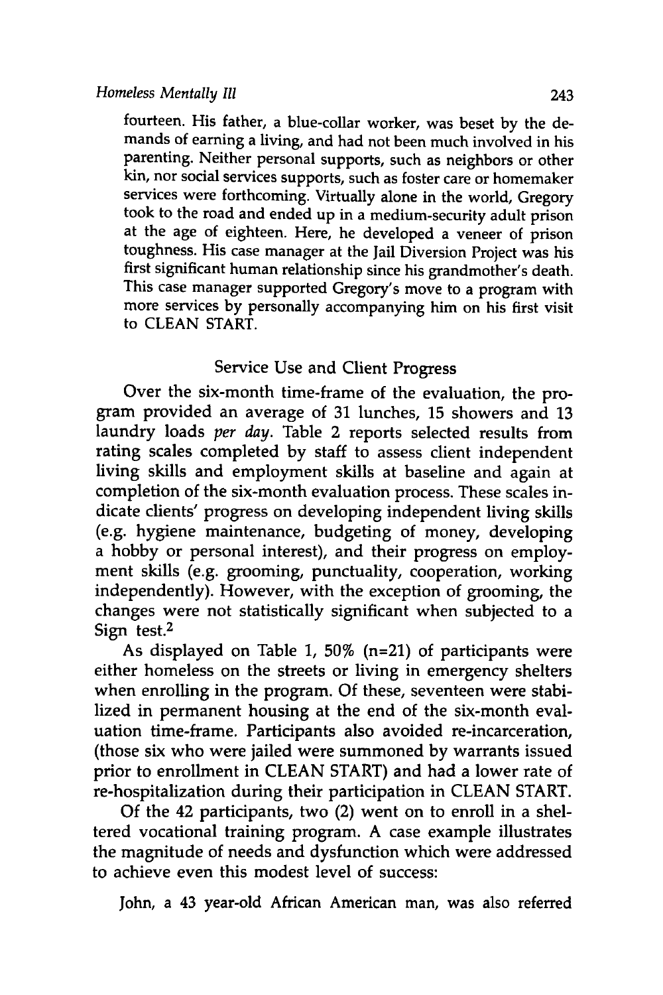fourteen. His father, a blue-collar worker, was beset **by** the demands of earning a living, and had not been much involved in his parenting. Neither personal supports, such as neighbors or other kin, nor social services supports, such as foster care or homemaker services were forthcoming. Virtually alone in the world, Gregory took to the road and ended up in a medium-security adult prison at the age of eighteen. Here, he developed a veneer of prison toughness. His case manager at the Jail Diversion Project was his first significant human relationship since his grandmother's death. This case manager supported Gregory's move to a program with more services **by** personally accompanying him on his first visit to **CLEAN** START.

## Service Use and Client Progress

Over the six-month time-frame of the evaluation, the program provided an average of **31** lunches, **15** showers and **13** laundry loads *per day.* Table 2 reports selected results from rating scales completed **by** staff to assess client independent living skills and employment skills at baseline and again at completion of the six-month evaluation process. These scales indicate clients' progress on developing independent living skills (e.g. hygiene maintenance, budgeting of money, developing a hobby or personal interest), and their progress on employment skills (e.g. grooming, punctuality, cooperation, working independently). However, with the exception of grooming, the changes were not statistically significant when subjected to a Sign test.2

As displayed on Table **1,** 50% (n=21) of participants were either homeless on the streets or living in emergency shelters when enrolling in the program. **Of** these, seventeen were stabilized in permanent housing at the end of the six-month evaluation time-frame. Participants also avoided re-incarceration, (those six who were jailed were summoned **by** warrants issued prior to enrollment in **CLEAN** START) and had a lower rate of re-hospitalization during their participation in **CLEAN** START.

**Of** the 42 participants, two (2) went on to enroll in a sheltered vocational training program. A case example illustrates the magnitude of needs and dysfunction which were addressed to achieve even this modest level of success:

John, a 43 year-old African American man, was also referred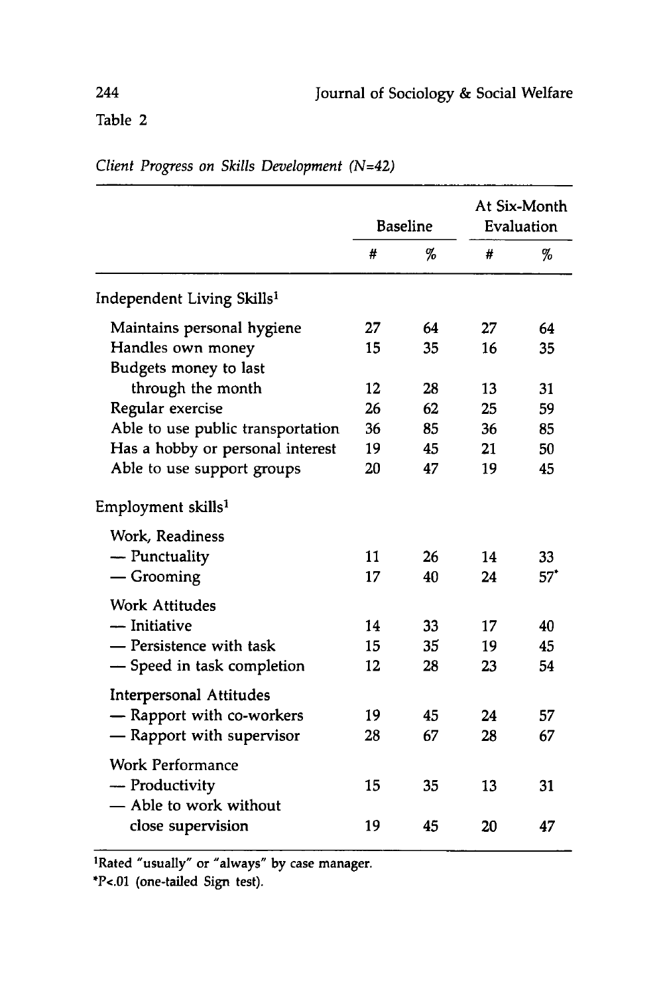#### Table 2

At Six-Month Baseline Evaluation # % #  $%$ Independent Living Skills' Maintains personal hygiene **27** 64 **27** 64 Handles own money **15 35 16 35** Budgets money to last through the month 12 **28 13 31** Regular exercise **26 62 25 59** Able to use public transportation **36 85 36 85** Has a hobby or personal interest **19** 45 21 **50** Able to use support groups 20 47 **19** 45 Employment skills' Work, Readiness **-** Punctuality **11 26** 14 **33** - Grooming **17** 40 24 **57\*** Work Attitudes **-** Initiative 14 **33 17** 40 **-** Persistence with task **15 35 19** 45 **-** Speed in task completion 12 **28 23** 54 Interpersonal Attitudes **-** Rapport with co-workers **19** 45 24 **57 -** Rapport with supervisor **28 67 28 67** Work Performance **-** Productivity **15 35 13 31** - Able to work without close supervision **19** 45 20 47

*Client Progress on Skills Development (N=42)*

'Rated "usually" or "always" **by** case manager.

**\*P<.01** (one-tailed Sign test).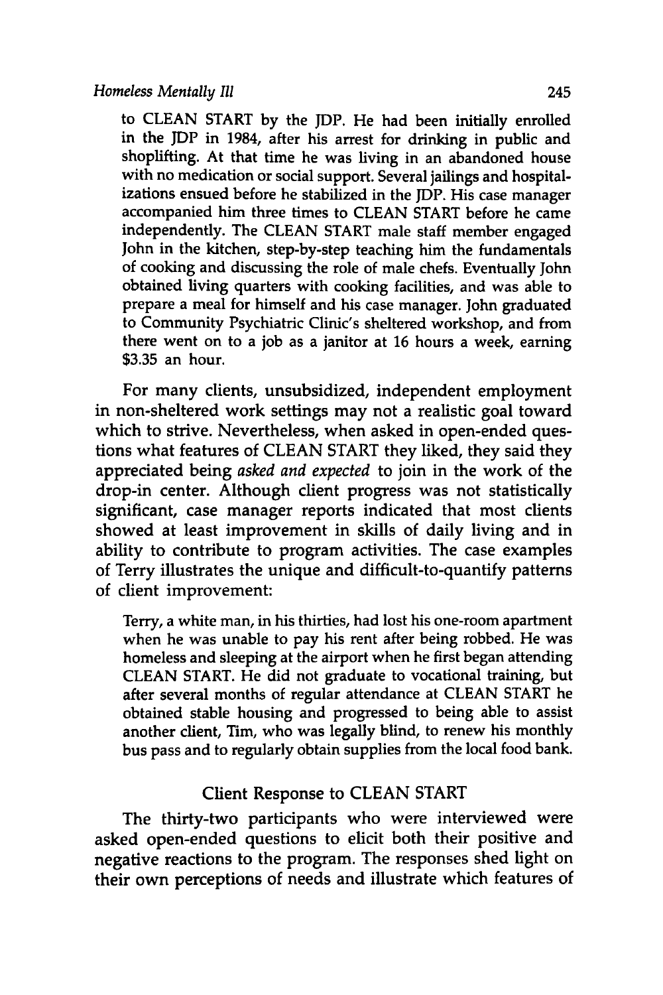to **CLEAN** START **by** the JDP. He had been initially enrolled in the JDP in 1984, after his arrest for drinking in public and shoplifting. At that time he was living in an abandoned house with no medication or social support. Several jailings and hospitalizations ensued before he stabilized in the **JDP.** His case manager accompanied him three times to **CLEAN** START before he came independently. The **CLEAN** START male staff member engaged John in the kitchen, step-by-step teaching him the fundamentals of cooking and discussing the role of male chefs. Eventually John obtained living quarters with cooking facilities, and was able to prepare a meal for himself and his case manager. John graduated to Community Psychiatric Clinic's sheltered workshop, and from there went on to a **job** as a janitor at **16** hours a week, earning **\$3.35** an hour.

For many clients, unsubsidized, independent employment in non-sheltered work settings may not a realistic goal toward which to strive. Nevertheless, when asked in open-ended questions what features of **CLEAN** START they liked, they said they appreciated being *asked and expected* to join in the work of the drop-in center. Although client progress was not statistically significant, case manager reports indicated that most clients showed at least improvement in skills of daily living and in ability to contribute to program activities. The case examples of Terry illustrates the unique and difficult-to-quantify patterns of client improvement:

Terry, a white man, in his thirties, had lost his one-room apartment when he was unable to pay his rent after being robbed. He was homeless and sleeping at the airport when he first began attending **CLEAN** START. He did not graduate to vocational training, but after several months of regular attendance at **CLEAN** START he obtained stable housing and progressed to being able to assist another client, Tim, who was legally blind, to renew his monthly bus pass and to regularly obtain supplies from the local food bank.

## Client Response to **CLEAN** START

The thirty-two participants who were interviewed were asked open-ended questions to elicit both their positive and negative reactions to the program. The responses shed light on their own perceptions of needs and illustrate which features of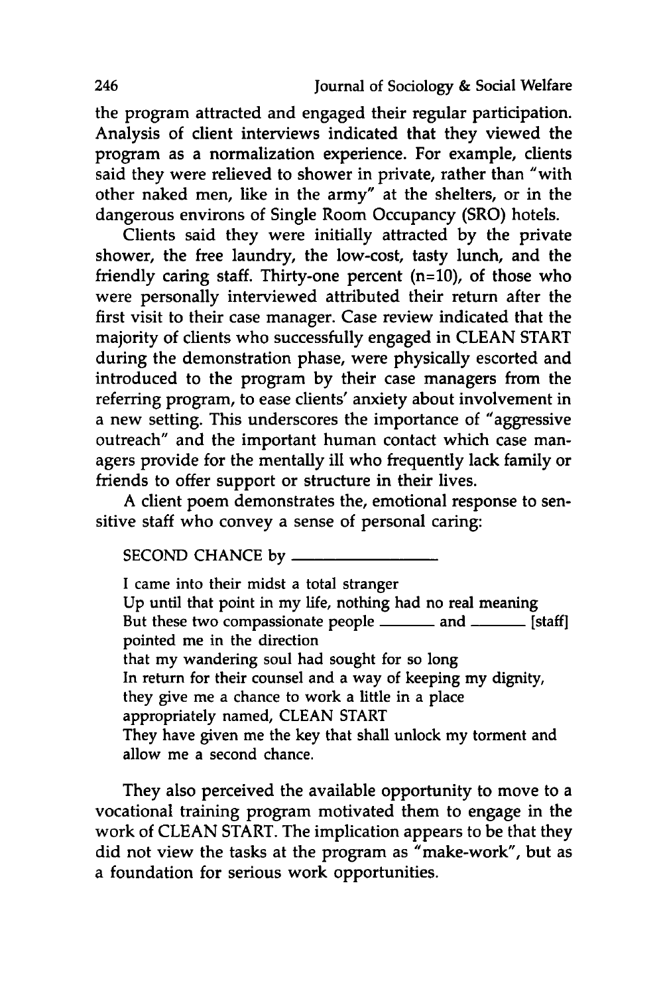the program attracted and engaged their regular participation. Analysis of client interviews indicated that they viewed the program as a normalization experience. For example, clients said they were relieved to shower in private, rather than "with other naked men, like in the army" at the shelters, or in the dangerous environs of Single Room Occupancy (SRO) hotels.

Clients said they were initially attracted **by** the private shower, the free laundry, the low-cost, tasty lunch, and the friendly caring staff. Thirty-one percent (n=10), of those who were personally interviewed attributed their return after the first visit to their case manager. Case review indicated that the majority of clients who successfully engaged in **CLEAN** START during the demonstration phase, were physically escorted and introduced to the program **by** their case managers from the referring program, to ease clients' anxiety about involvement in a new setting. This underscores the importance of "aggressive outreach" and the important human contact which case managers provide for the mentally ill who frequently lack family or friends to offer support or structure in their lives.

A client poem demonstrates the, emotional response to sensitive staff who convey a sense of personal caring:

**SECOND CHANCE by**

I came into their midst a total stranger **Up** until that point in my life, nothing had no real meaning But these two compassionate people \_\_\_\_\_\_\_\_ and \_\_\_\_\_\_\_ [staff] pointed me in the direction that my wandering soul had sought for so long In return for their counsel and a way of keeping my dignity, they give me a chance to work a little in a place appropriately named, **CLEAN** START They have given me the key that shall unlock my torment and allow me a second chance.

They also perceived the available opportunity to move to a vocational training program motivated them to engage in the work of **CLEAN** START. The implication appears to be that they did not view the tasks at the program as "make-work", but as a foundation for serious work opportunities.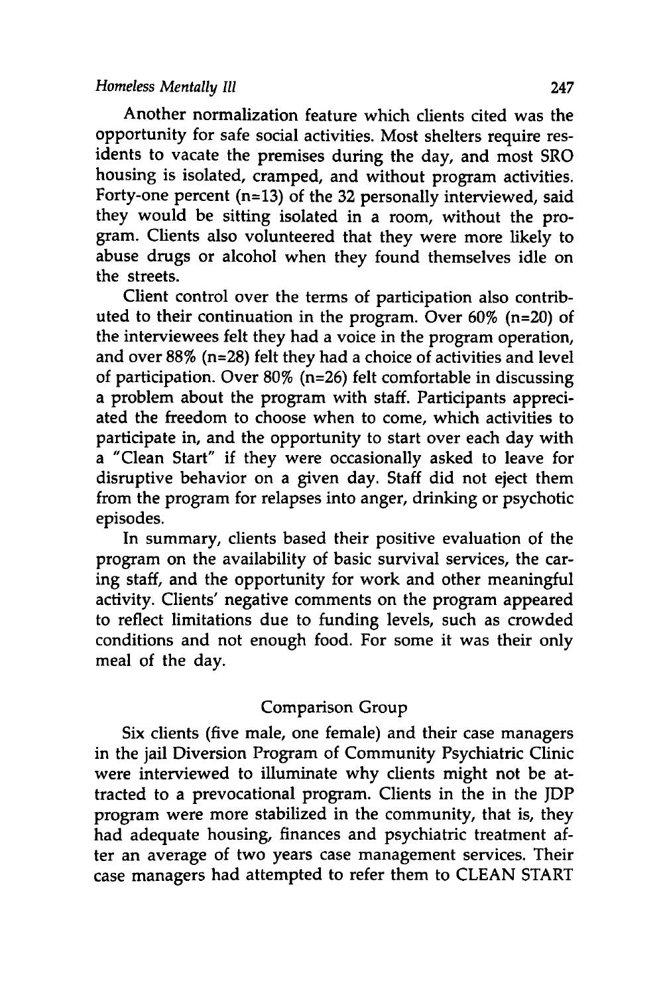Another normalization feature which clients cited was the opportunity for safe social activities. Most shelters require residents to vacate the premises during the day, and most SRO housing is isolated, cramped, and without program activities. Forty-one percent (n=13) of the **32** personally interviewed, said they would be sitting isolated in a room, without the program. Clients also volunteered that they were more likely to abuse drugs or alcohol when they found themselves idle on the streets.

Client control over the terms of participation also contributed to their continuation in the program. Over **60%** (n=20) of the interviewees felt they had a voice in the program operation, and over **88%** (n=28) felt they had a choice of activities and level of participation. Over 80% (n=26) felt comfortable in discussing a problem about the program with staff. Participants appreciated the freedom to choose when to come, which activities to participate in, and the opportunity to start over each day with a "Clean Start" if they were occasionally asked to leave for disruptive behavior on a given day. Staff did not eject them from the program for relapses into anger, drinking or psychotic episodes.

In summary, clients based their positive evaluation of the program on the availability of basic survival services, the caring staff, and the opportunity for work and other meaningful activity. Clients' negative comments on the program appeared to reflect limitations due to funding levels, such as crowded conditions and not enough food. For some it was their only meal of the day.

#### Comparison Group

Six clients (five male, one female) and their case managers in the jail Diversion Program of Community Psychiatric Clinic were interviewed to illuminate why clients might not be attracted to a prevocational program. Clients in the in the JDP program were more stabilized in the community, that is, they had adequate housing, finances and psychiatric treatment after an average of two years case management services. Their case managers had attempted to refer them to **CLEAN** START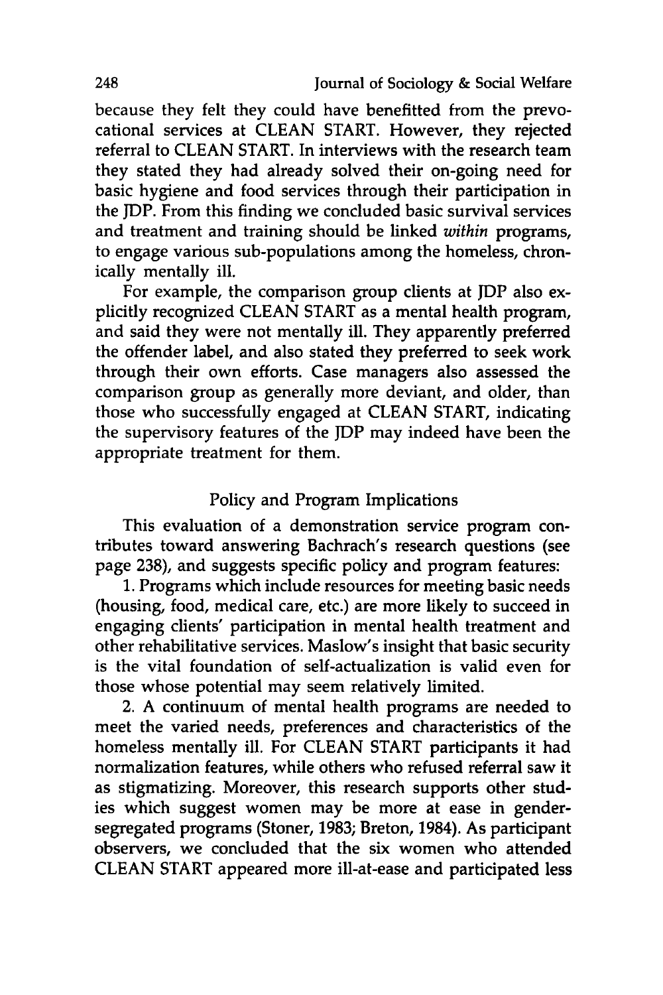because they felt they could have benefitted from the prevocational services at **CLEAN** START. However, they rejected referral to **CLEAN** START. In interviews with the research team they stated they had already solved their on-going need for basic hygiene and food services through their participation in the JDP. From this finding we concluded basic survival services and treatment and training should be linked *within* programs, to engage various sub-populations among the homeless, chronically mentally ill.

For example, the comparison group clients at **JDP** also explicitly recognized **CLEAN** START as a mental health program, and said they were not mentally ill. They apparently preferred the offender label, and also stated they preferred to seek work through their own efforts. Case managers also assessed the comparison group as generally more deviant, and older, than those who successfully engaged at **CLEAN** START, indicating the supervisory features of the **JDP** may indeed have been the appropriate treatment for them.

#### Policy and Program Implications

This evaluation of a demonstration service program contributes toward answering Bachrach's research questions (see page **238),** and suggests specific policy and program features:

**1.** Programs which include resources for meeting basic needs (housing, food, medical care, etc.) are more likely to succeed in engaging clients' participation in mental health treatment and other rehabilitative services. Maslow's insight that basic security is the vital foundation of self-actualization is valid even for those whose potential may seem relatively limited.

2. A continuum of mental health programs are needed to meet the varied needs, preferences and characteristics of the homeless mentally ill. For **CLEAN** START participants it had normalization features, while others who refused referral saw it as stigmatizing. Moreover, this research supports other studies which suggest women may be more at ease in gendersegregated programs (Stoner, **1983;** Breton, 1984). As participant observers, we concluded that the six women who attended **CLEAN** START appeared more ill-at-ease and participated less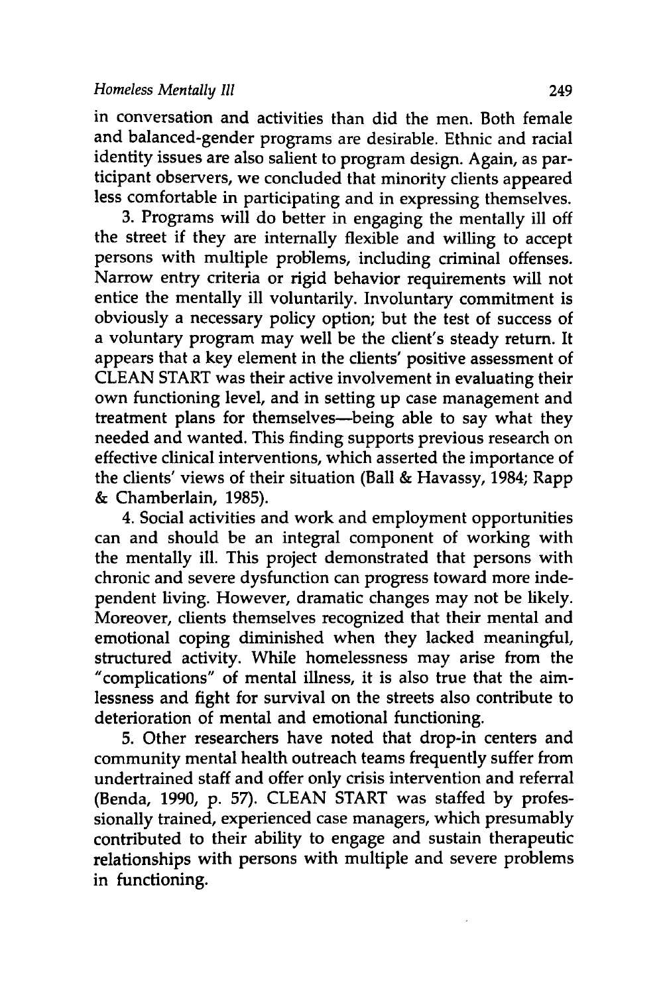in conversation and activities than did the men. Both female and balanced-gender programs are desirable. Ethnic and racial identity issues are also salient to program design. Again, as participant observers, we concluded that minority clients appeared less comfortable in participating and in expressing themselves.

**3.** Programs will do better in engaging the mentally ill off the street if they are internally flexible and willing to accept persons with multiple problems, including criminal offenses. Narrow entry criteria or rigid behavior requirements will not entice the mentally ill voluntarily. Involuntary commitment is obviously a necessary policy option; but the test of success of a voluntary program may well be the client's steady return. It appears that a key element in the clients' positive assessment of **CLEAN** START was their active involvement in evaluating their own functioning level, and in setting up case management and treatment plans for themselves-being able to say what they needed and wanted. This finding supports previous research on effective clinical interventions, which asserted the importance of the clients' views of their situation (Ball **&** Havassy, 1984; Rapp **&** Chamberlain, **1985).**

4. Social activities and work and employment opportunities can and should be an integral component of working with the mentally ill. This project demonstrated that persons with chronic and severe dysfunction can progress toward more independent living. However, dramatic changes may not be likely. Moreover, clients themselves recognized that their mental and emotional coping diminished when they lacked meaningful, structured activity. While homelessness may arise from the "complications" of mental illness, it is also true that the aimlessness and fight for survival on the streets also contribute to deterioration of mental and emotional functioning.

**5.** Other researchers have noted that drop-in centers and community mental health outreach teams frequently suffer from undertrained staff and offer only crisis intervention and referral (Benda, **1990, p. 57). CLEAN** START was staffed **by** professionally trained, experienced case managers, which presumably contributed to their ability to engage and sustain therapeutic relationships with persons with multiple and severe problems in functioning.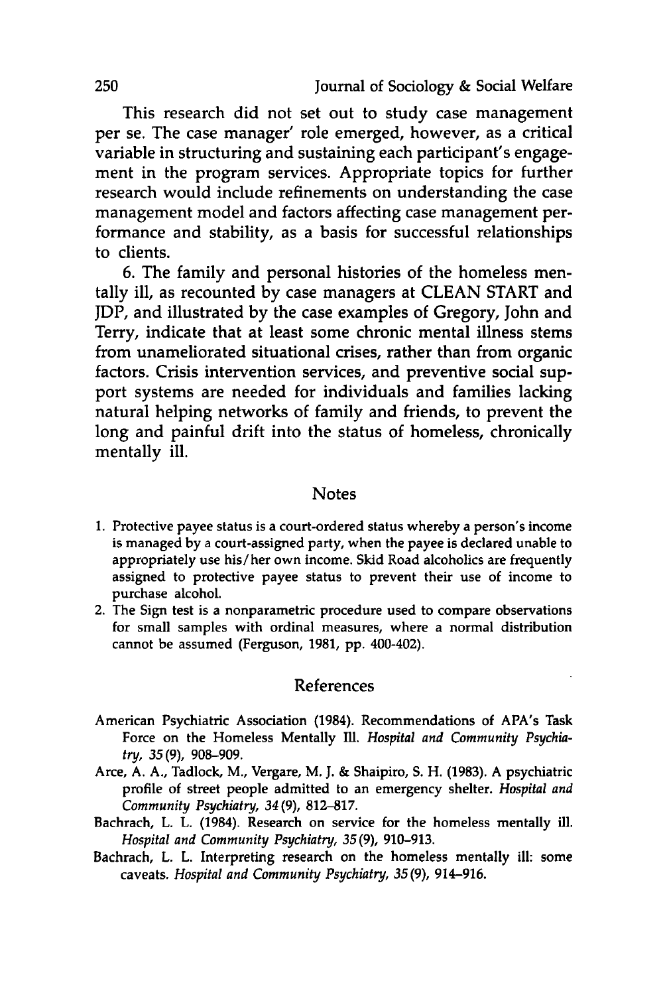This research did not set out to study case management per se. The case manager' role emerged, however, as a critical variable in structuring and sustaining each participant's engagement in the program services. Appropriate topics for further research would include refinements on understanding the case management model and factors affecting case management performance and stability, as a basis for successful relationships to clients.

**6.** The family and personal histories of the homeless mentally ill, as recounted **by** case managers at **CLEAN** START and JDP, and illustrated **by** the case examples of Gregory, John and Terry, indicate that at least some chronic mental illness stems from unameliorated situational crises, rather than from organic factors. Crisis intervention services, and preventive social support systems are needed for individuals and families lacking natural helping networks of family and friends, to prevent the long and painful drift into the status of homeless, chronically mentally ill.

#### Notes

- **1.** Protective payee status is a court-ordered status whereby a person's income is managed **by** a court-assigned party, when the payee is declared unable to appropriately use his/her own income. Skid Road alcoholics are frequently assigned to protective payee status to prevent their use of income to purchase alcohol.
- 2. The Sign test is a nonparametric procedure used to compare observations for small samples with ordinal measures, where a normal distribution cannot be assumed (Ferguson, **1981, pp.** 400-402).

#### References

- American Psychiatric Association (1984). Recommendations of APA's Task Force on the Homeless Mentally Ill. *Hospital and Community Psychiatry, 35(9),* **908-909.**
- Arce, **A. A.,** Tadlock, M., Vergare, M. **J. &** Shaipiro, **S.** H. **(1983). A** psychiatric profile of street people admitted to an emergency shelter. *Hospital and Community Psychiatry,* 34(9), **812-817.**
- Bachrach, L. L. (1984). Research on service for the homeless mentally ill. *Hospital and Community Psychiatry, 35(9),* **910-913.**
- Bachrach, L. L. Interpreting research on the homeless mentally ill: some caveats. *Hospital and Community Psychiatry, 35(9),* 914-916.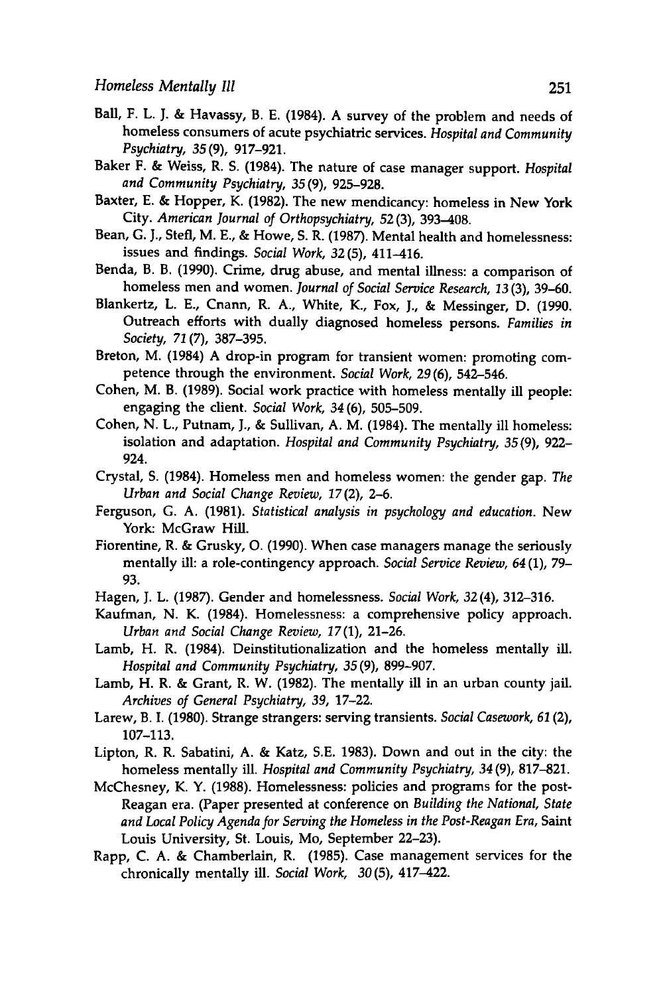- **Ball,** F. L. **J. &** Havassy, B. **E.** (1984). **A** survey of the problem and needs of homeless consumers of acute psychiatric services. *Hospital and Community Psychiatry,* **35(9), 917-921.**
- Baker F. **&** Weiss, R. **S.** (1984). The nature of case manager support. *Hospital and Community Psychiatry,* **35(9), 925-928.**
- Baxter, **E. &** Hopper, K. **(1982).** The new mendicancy: homeless in New York City. *American Journal of Orthopsychiatry,* **52(3), 393-408.**
- Bean, **G. J.,** Stefl, M. **E., &** Howe, **S.** R. **(1987).** Mental health and homelessness: issues and findings. *Social Work,* **32(5),** 411-416.
- Benda, B. B. **(1990).** Crime, drug abuse, and mental illness: a comparison of homeless men and women. *Journal of Social Service Research, 13* **(3), 39-60.**
- Blankertz, L. **E.,** Cnann, R. **A.,** White, K., Fox, **J., &** Messinger, **D. (1990.** Outreach efforts with dually diagnosed homeless persons. *Families in Society, 71* **(7), 387-395.**
- Breton, M. (1984) A drop-in program for transient women: promoting competence through the environment. *Social Work,* **29(6),** 542-546.
- Cohen, M. B. **(1989).** Social work practice with homeless mentally ill people: engaging the client. *Social Work, 34* **(6), 505-509.**
- Cohen, **N.** L., Putnam, **J., &** Sullivan, **A.** M. (1984). The mentally ill homeless: isolation and adaptation. *Hospital and Community Psychiatry,* **35(9), 922-** 924.
- Crystal, **S.** (1984). Homeless men and homeless women: the gender gap. *The Urban and Social Change Review,* **17(2), 2-6.**
- Ferguson, **G. A. (1981).** *Statistical analysis in psychology and education.* New York: McGraw Hill.
- Fiorentine, R. **&** Grusky, **0. (1990).** When case managers manage the seriously mentally **ill:** a role-contingency approach. *Social Service Review, 64* **(1), 79- 93.**
- Hagen, **J.** L. **(1987).** Gender and homelessness. *Social Work,* **32** (4), **312-316.**
- Kaufman, **N.** K. (1984). Homelessness: a comprehensive policy approach. *Urban and Social Change Review, 17(1),* **21-26.**
- Lamb, H. R. (1984). Deinstitutionalization and the homeless mentally ill. *Hospital and Community Psychiatry, 35(9),* **899-907.**
- Lamb, H. R. **&** Grant, R. W. **(1982).** The mentally ill in an urban county jail. *Archives of General Psychiatry, 39,* **17-22.**
- Larew, B. **I. (1980).** Strange strangers: serving transients. *Social Casework, 61* (2), **107-113.**
- Lipton, R. R. Sabatini, **A. &** Katz, **S.E. 1983).** Down and out in the city: the homeless mentally ill. *Hospital and Community Psychiatry, 34* **(9), 817-821.**
- McChesney, K. Y. **(1988).** Homelessness: policies and programs for the post-Reagan era. (Paper presented at conference on *Building the National, State and Local Policy Agenda for Serving the Homeless in the Post-Reagan Era,* Saint Louis University, St. Louis, Mo, September **22-23).**
- Rapp, **C. A. &** Chamberlain, R. **(1985).** Case management services for the chronically mentally ill. *Social Work, 30(5),* 417-422.